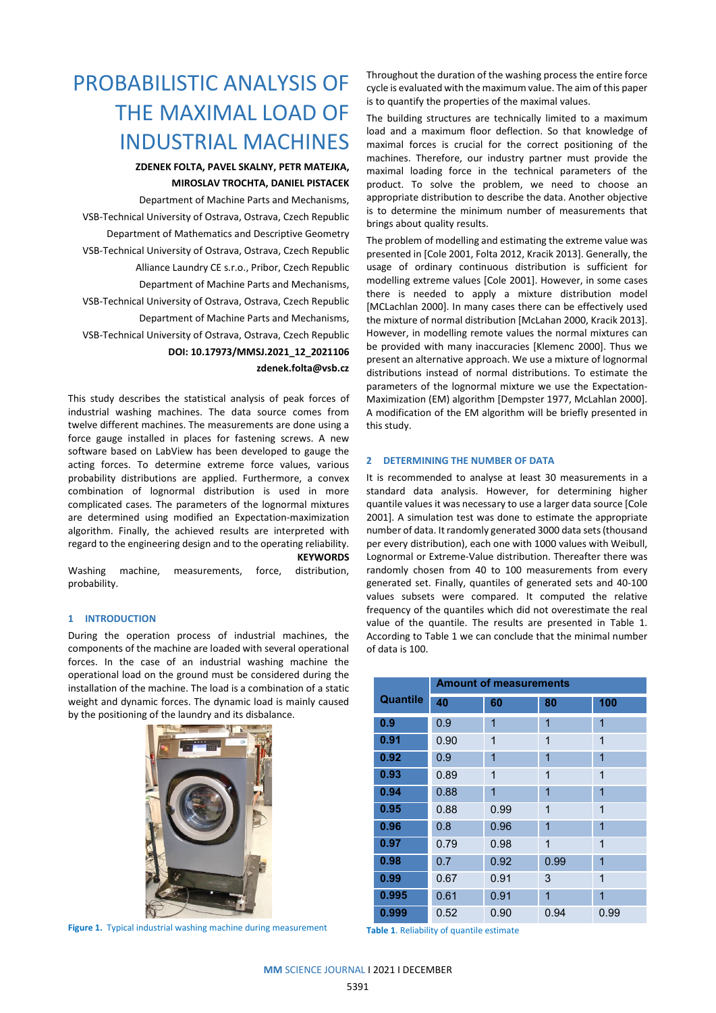# PROBABILISTIC ANALYSIS OF THE MAXIMAL LOAD OF INDUSTRIAL MACHINES

# **ZDENEK FOLTA, PAVEL SKALNY, PETR MATEJKA, MIROSLAV TROCHTA, DANIEL PISTACEK**

Department of Machine Parts and Mechanisms, VSB-Technical University of Ostrava, Ostrava, Czech Republic Department of Mathematics and Descriptive Geometry VSB-Technical University of Ostrava, Ostrava, Czech Republic Alliance Laundry CE s.r.o., Pribor, Czech Republic Department of Machine Parts and Mechanisms, VSB-Technical University of Ostrava, Ostrava, Czech Republic Department of Machine Parts and Mechanisms, VSB-Technical University of Ostrava, Ostrava, Czech Republic **DOI: 10.17973/MMSJ.2021\_12\_2021106 zdenek.folta@vsb.cz**

This study describes the statistical analysis of peak forces of industrial washing machines. The data source comes from twelve different machines. The measurements are done using a force gauge installed in places for fastening screws. A new software based on LabView has been developed to gauge the acting forces. To determine extreme force values, various probability distributions are applied. Furthermore, a convex combination of lognormal distribution is used in more complicated cases. The parameters of the lognormal mixtures are determined using modified an Expectation-maximization algorithm. Finally, the achieved results are interpreted with regard to the engineering design and to the operating reliability. **KEYWORDS**

Washing machine, measurements, force, distribution, probability.

### **1 INTRODUCTION**

During the operation process of industrial machines, the components of the machine are loaded with several operational forces. In the case of an industrial washing machine the operational load on the ground must be considered during the installation of the machine. The load is a combination of a static weight and dynamic forces. The dynamic load is mainly caused by the positioning of the laundry and its disbalance.



**Figure 1.** Typical industrial washing machine during measurement

Throughout the duration of the washing process the entire force cycle is evaluated with the maximum value. The aim of this paper is to quantify the properties of the maximal values.

The building structures are technically limited to a maximum load and a maximum floor deflection. So that knowledge of maximal forces is crucial for the correct positioning of the machines. Therefore, our industry partner must provide the maximal loading force in the technical parameters of the product. To solve the problem, we need to choose an appropriate distribution to describe the data. Another objective is to determine the minimum number of measurements that brings about quality results.

The problem of modelling and estimating the extreme value was presented in [Cole 2001, Folta 2012, Kracik 2013]. Generally, the usage of ordinary continuous distribution is sufficient for modelling extreme values [Cole 2001]. However, in some cases there is needed to apply a mixture distribution model [MCLachlan 2000]. In many cases there can be effectively used the mixture of normal distribution [McLahan 2000, Kracik 2013]. However, in modelling remote values the normal mixtures can be provided with many inaccuracies [Klemenc 2000]. Thus we present an alternative approach. We use a mixture of lognormal distributions instead of normal distributions. To estimate the parameters of the lognormal mixture we use the Expectation-Maximization (EM) algorithm [Dempster 1977, McLahlan 2000]. A modification of the EM algorithm will be briefly presented in this study.

### **2 DETERMINING THE NUMBER OF DATA**

It is recommended to analyse at least 30 measurements in a standard data analysis. However, for determining higher quantile values it was necessary to use a larger data source [Cole 2001]. A simulation test was done to estimate the appropriate number of data. It randomly generated 3000 data sets (thousand per every distribution), each one with 1000 values with Weibull, Lognormal or Extreme-Value distribution. Thereafter there was randomly chosen from 40 to 100 measurements from every generated set. Finally, quantiles of generated sets and 40-100 values subsets were compared. It computed the relative frequency of the quantiles which did not overestimate the real value of the quantile. The results are presented in Table 1. According to Table 1 we can conclude that the minimal number of data is 100.

|                 | <b>Amount of measurements</b> |              |                |      |  |
|-----------------|-------------------------------|--------------|----------------|------|--|
| <b>Quantile</b> | 40                            | 60           | 80             | 100  |  |
| 0.9             | 0.9                           | 1            | 1              | 1    |  |
| 0.91            | 0.90                          | 1            | $\overline{1}$ | 1    |  |
| 0.92            | 0.9                           | 1            | 1              | 1    |  |
| 0.93            | 0.89                          | $\mathbf{1}$ | $\mathbf 1$    | 1    |  |
| 0.94            | 0.88                          | 1            | 1              | 1    |  |
| 0.95            | 0.88                          | 0.99         | $\overline{1}$ | 1    |  |
| 0.96            | 0.8                           | 0.96         | $\overline{1}$ | 1    |  |
| 0.97            | 0.79                          | 0.98         | 1              | 1    |  |
| 0.98            | 0.7                           | 0.92         | 0.99           | 1    |  |
| 0.99            | 0.67                          | 0.91         | 3              | 1    |  |
| 0.995           | 0.61                          | 0.91         | $\overline{1}$ | 1    |  |
| 0.999           | 0.52                          | 0.90         | 0.94           | 0.99 |  |

**Table 1**. Reliability of quantile estimate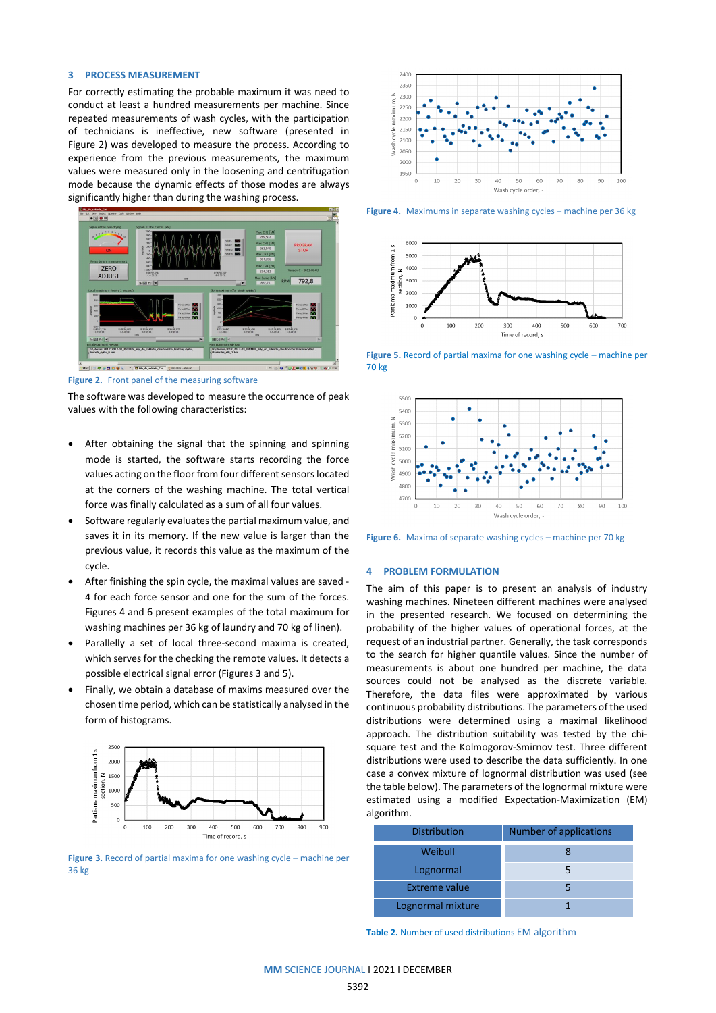#### **3 PROCESS MEASUREMENT**

For correctly estimating the probable maximum it was need to conduct at least a hundred measurements per machine. Since repeated measurements of wash cycles, with the participation of technicians is ineffective, new software (presented in Figure 2) was developed to measure the process. According to experience from the previous measurements, the maximum values were measured only in the loosening and centrifugation mode because the dynamic effects of those modes are always significantly higher than during the washing process.



**Figure 2.** Front panel of the measuring software

The software was developed to measure the occurrence of peak values with the following characteristics:

- After obtaining the signal that the spinning and spinning mode is started, the software starts recording the force values acting on the floor from four different sensors located at the corners of the washing machine. The total vertical force was finally calculated as a sum of all four values.
- Software regularly evaluates the partial maximum value, and saves it in its memory. If the new value is larger than the previous value, it records this value as the maximum of the cycle.
- After finishing the spin cycle, the maximal values are saved 4 for each force sensor and one for the sum of the forces. Figures 4 and 6 present examples of the total maximum for washing machines per 36 kg of laundry and 70 kg of linen).
- Parallelly a set of local three-second maxima is created, which serves for the checking the remote values. It detects a possible electrical signal error (Figures 3 and 5).
- Finally, we obtain a database of maxims measured over the chosen time period, which can be statistically analysed in the form of histograms.



**Figure 3.** Record of partial maxima for one washing cycle – machine per 36 kg



**Figure 4.** Maximums in separate washing cycles – machine per 36 kg



**Figure 5.** Record of partial maxima for one washing cycle – machine per 70 kg



**Figure 6.** Maxima of separate washing cycles – machine per 70 kg

#### **4 PROBLEM FORMULATION**

The aim of this paper is to present an analysis of industry washing machines. Nineteen different machines were analysed in the presented research. We focused on determining the probability of the higher values of operational forces, at the request of an industrial partner. Generally, the task corresponds to the search for higher quantile values. Since the number of measurements is about one hundred per machine, the data sources could not be analysed as the discrete variable. Therefore, the data files were approximated by various continuous probability distributions. The parameters of the used distributions were determined using a maximal likelihood approach. The distribution suitability was tested by the chisquare test and the Kolmogorov-Smirnov test. Three different distributions were used to describe the data sufficiently. In one case a convex mixture of lognormal distribution was used (see the table below). The parameters of the lognormal mixture were estimated using a modified Expectation-Maximization (EM) algorithm.

| <b>Distribution</b>  | <b>Number of applications</b> |  |  |
|----------------------|-------------------------------|--|--|
| Weibull              |                               |  |  |
| Lognormal            |                               |  |  |
| <b>Extreme value</b> |                               |  |  |
| Lognormal mixture    |                               |  |  |

**Table 2.** Number of used distributions EM algorithm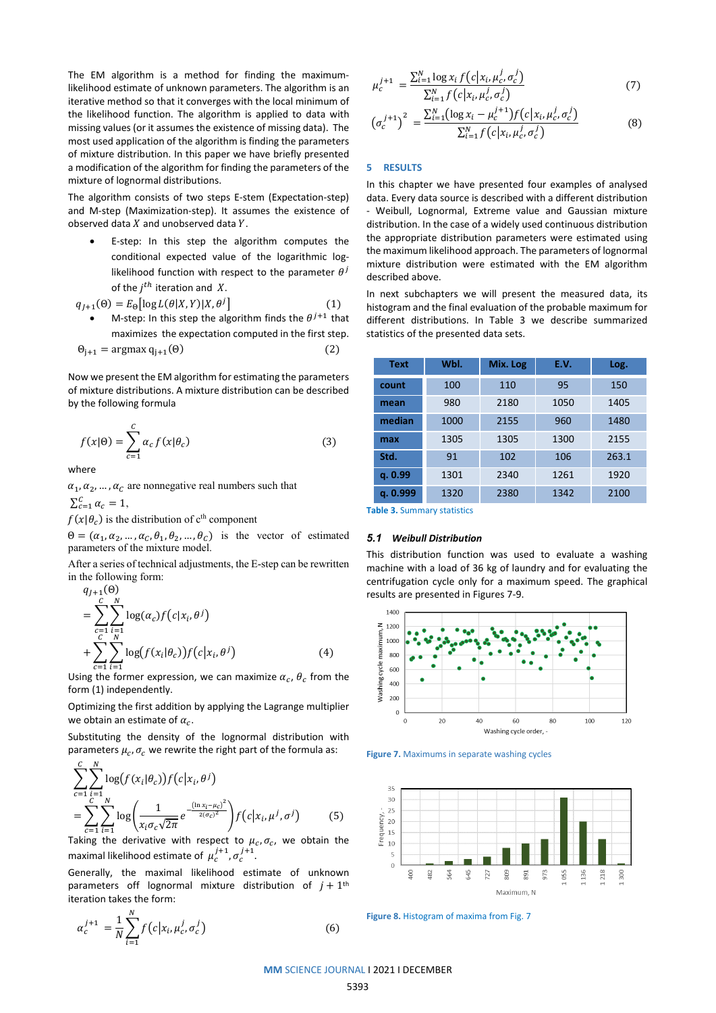The EM algorithm is a method for finding the maximumlikelihood estimate of unknown parameters. The algorithm is an iterative method so that it converges with the local minimum of the likelihood function. The algorithm is applied to data with missing values (or it assumes the existence of missing data). The most used application of the algorithm is finding the parameters of mixture distribution. In this paper we have briefly presented a modification of the algorithm for finding the parameters of the mixture of lognormal distributions.

The algorithm consists of two steps E-stem (Expectation-step) and M-step (Maximization-step). It assumes the existence of observed data  $X$  and unobserved data  $Y$ .

E-step: In this step the algorithm computes the conditional expected value of the logarithmic loglikelihood function with respect to the parameter  $\theta^j$ of the  $i^{th}$  iteration and X.

$$
q_{j+1}(\Theta) = E_{\Theta} \big[ \log L(\theta | X, Y) | X, \theta^j \big] \tag{1}
$$

• M-step: In this step the algorithm finds the  $\theta^{j+1}$  that maximizes the expectation computed in the first step.  $\Theta_{i+1} = \argmax q_{i+1}(\Theta)$  (2)

Now we present the EM algorithm for estimating the parameters of mixture distributions. A mixture distribution can be described by the following formula

$$
f(x|\Theta) = \sum_{c=1}^{C} \alpha_c f(x|\theta_c)
$$
 (3)

where

 $\alpha_1, \alpha_2, \dots, \alpha_{\mathcal{C}}$  are nonnegative real numbers such that

 $\sum_{c=1}^{C} \alpha_c = 1,$ 

 $f(x|\theta_c)$  is the distribution of c<sup>th</sup> component

 $\Theta = (\alpha_1, \alpha_2, ..., \alpha_c, \theta_1, \theta_2, ..., \theta_c)$  is the vector of estimated parameters of the mixture model.

After a series of technical adjustments, the E-step can be rewritten in the following form:  $(9)$ 

$$
q_{j+1}(\Theta) = \sum_{c=1}^{C} \sum_{i=1}^{N} \log(\alpha_c) f(c|x_i, \theta^j) + \sum_{c=1}^{C} \sum_{i=1}^{N} \log(f(x_i|\theta_c)) f(c|x_i, \theta^j)
$$
(4)

Using the former expression, we can maximize  $\alpha_c$ ,  $\theta_c$  from the form (1) independently.

Optimizing the first addition by applying the Lagrange multiplier we obtain an estimate of  $\alpha_c$ .

Substituting the density of the lognormal distribution with parameters  $\mu_c$ ,  $\sigma_c$  we rewrite the right part of the formula as:

$$
\sum_{c=1}^{C} \sum_{i=1}^{N} \log(f(x_i|\theta_c)) f(c|x_i, \theta^j)
$$
\n
$$
= \sum_{c=1}^{C} \sum_{i=1}^{N} \log \left( \frac{1}{x_i \sigma_c \sqrt{2\pi}} e^{-\frac{(\ln x_i - \mu_c)^2}{2(\sigma_c)^2}} \right) f(c|x_i, \mu^j, \sigma^j) \tag{5}
$$

Taking the derivative with respect to  $\mu_c$ ,  $\sigma_c$ , we obtain the maximal likelihood estimate of  $\mu_c^{j+1}, \sigma_c^{j+1}$ .

Generally, the maximal likelihood estimate of unknown parameters off lognormal mixture distribution of  $j + 1$ <sup>th</sup> iteration takes the form:

$$
\alpha_c^{j+1} = \frac{1}{N} \sum_{i=1}^N f(c | x_i, \mu_c^j, \sigma_c^j)
$$
 (6)

$$
\mu_c^{j+1} = \frac{\sum_{i=1}^N \log x_i f(c | x_i, \mu_c^j, \sigma_c^j)}{\sum_{i=1}^N f(c | x_i, \mu_c^j, \sigma_c^j)}
$$
(7)

$$
\left(\sigma_c^{j+1}\right)^2 = \frac{\sum_{i=1}^N \left(\log x_i - \mu_c^{j+1}\right) f\left(c | x_i, \mu_c^j, \sigma_c^j\right)}{\sum_{i=1}^N f\left(c | x_i, \mu_c^j, \sigma_c^j\right)}
$$
(8)

#### **5 RESULTS**

In this chapter we have presented four examples of analysed data. Every data source is described with a different distribution - Weibull, Lognormal, Extreme value and Gaussian mixture distribution. In the case of a widely used continuous distribution the appropriate distribution parameters were estimated using the maximum likelihood approach. The parameters of lognormal mixture distribution were estimated with the EM algorithm described above.

In next subchapters we will present the measured data, its histogram and the final evaluation of the probable maximum for different distributions. In Table 3 we describe summarized statistics of the presented data sets.

| Text     | Wbl. | Mix. Log | E.V. | Log.  |
|----------|------|----------|------|-------|
| count    | 100  | 110      | 95   | 150   |
| mean     | 980  | 2180     | 1050 | 1405  |
| median   | 1000 | 2155     | 960  | 1480  |
| max      | 1305 | 1305     | 1300 | 2155  |
| Std.     | 91   | 102      | 106  | 263.1 |
| q. 0.99  | 1301 | 2340     | 1261 | 1920  |
| q. 0.999 | 1320 | 2380     | 1342 | 2100  |

**Table 3.** Summary statistics

#### *5.1 Weibull Distribution*

This distribution function was used to evaluate a washing machine with a load of 36 kg of laundry and for evaluating the centrifugation cycle only for a maximum speed. The graphical results are presented in Figures 7-9.







**Figure 8.** Histogram of maxima from Fig. 7

# **MM** SCIENCE JOURNAL I 2021 I DECEMBER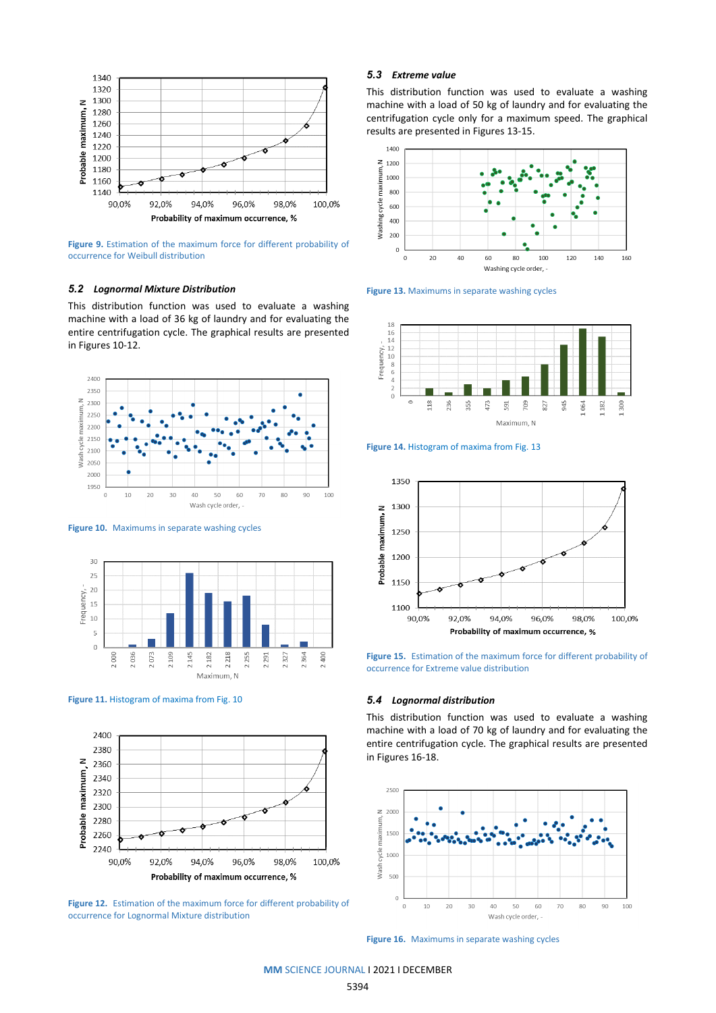

**Figure 9.** Estimation of the maximum force for different probability of occurrence for Weibull distribution

#### *5.2 Lognormal Mixture Distribution*

This distribution function was used to evaluate a washing machine with a load of 36 kg of laundry and for evaluating the entire centrifugation cycle. The graphical results are presented in Figures 10-12.



**Figure 10.** Maximums in separate washing cycles







**Figure 12.** Estimation of the maximum force for different probability of occurrence for Lognormal Mixture distribution

# *5.3 Extreme value*

This distribution function was used to evaluate a washing machine with a load of 50 kg of laundry and for evaluating the centrifugation cycle only for a maximum speed. The graphical results are presented in Figures 13-15.











**Figure 15.** Estimation of the maximum force for different probability of occurrence for Extreme value distribution

#### *5.4 Lognormal distribution*

This distribution function was used to evaluate a washing machine with a load of 70 kg of laundry and for evaluating the entire centrifugation cycle. The graphical results are presented in Figures 16-18.



**Figure 16.** Maximums in separate washing cycles